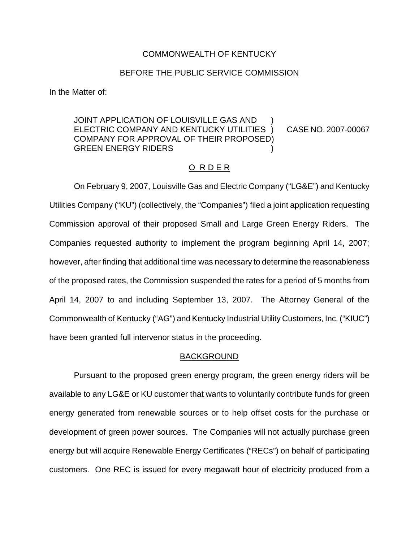### COMMONWEALTH OF KENTUCKY

## BEFORE THE PUBLIC SERVICE COMMISSION

In the Matter of:

# JOINT APPLICATION OF LOUISVILLE GAS AND ) ELECTRIC COMPANY AND KENTUCKY UTILITIES ) CASE NO. 2007-00067 COMPANY FOR APPROVAL OF THEIR PROPOSED) GREEN ENERGY RIDERS )

#### O R D E R

On February 9, 2007, Louisville Gas and Electric Company ("LG&E") and Kentucky Utilities Company ("KU") (collectively, the "Companies") filed a joint application requesting Commission approval of their proposed Small and Large Green Energy Riders. The Companies requested authority to implement the program beginning April 14, 2007; however, after finding that additional time was necessary to determine the reasonableness of the proposed rates, the Commission suspended the rates for a period of 5 months from April 14, 2007 to and including September 13, 2007. The Attorney General of the Commonwealth of Kentucky ("AG") and Kentucky Industrial Utility Customers, Inc. ("KIUC") have been granted full intervenor status in the proceeding.

#### BACKGROUND

Pursuant to the proposed green energy program, the green energy riders will be available to any LG&E or KU customer that wants to voluntarily contribute funds for green energy generated from renewable sources or to help offset costs for the purchase or development of green power sources. The Companies will not actually purchase green energy but will acquire Renewable Energy Certificates ("RECs") on behalf of participating customers. One REC is issued for every megawatt hour of electricity produced from a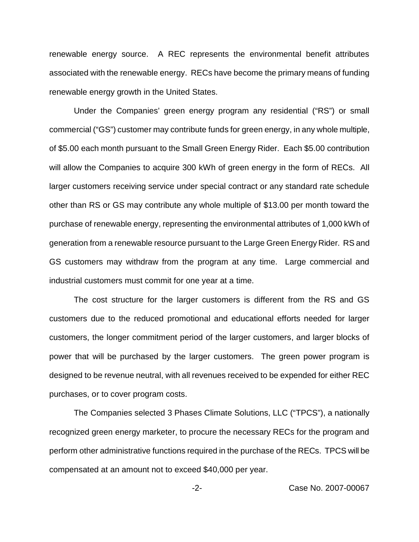renewable energy source. A REC represents the environmental benefit attributes associated with the renewable energy. RECs have become the primary means of funding renewable energy growth in the United States.

Under the Companies' green energy program any residential ("RS") or small commercial ("GS") customer may contribute funds for green energy, in any whole multiple, of \$5.00 each month pursuant to the Small Green Energy Rider. Each \$5.00 contribution will allow the Companies to acquire 300 kWh of green energy in the form of RECs. All larger customers receiving service under special contract or any standard rate schedule other than RS or GS may contribute any whole multiple of \$13.00 per month toward the purchase of renewable energy, representing the environmental attributes of 1,000 kWh of generation from a renewable resource pursuant to the Large Green Energy Rider. RS and GS customers may withdraw from the program at any time. Large commercial and industrial customers must commit for one year at a time.

The cost structure for the larger customers is different from the RS and GS customers due to the reduced promotional and educational efforts needed for larger customers, the longer commitment period of the larger customers, and larger blocks of power that will be purchased by the larger customers. The green power program is designed to be revenue neutral, with all revenues received to be expended for either REC purchases, or to cover program costs.

The Companies selected 3 Phases Climate Solutions, LLC ("TPCS"), a nationally recognized green energy marketer, to procure the necessary RECs for the program and perform other administrative functions required in the purchase of the RECs. TPCS will be compensated at an amount not to exceed \$40,000 per year.

-2- Case No. 2007-00067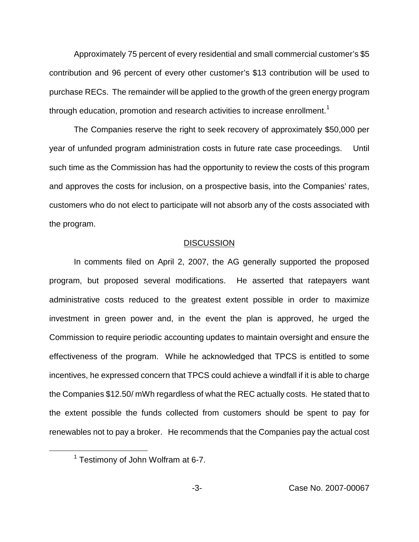Approximately 75 percent of every residential and small commercial customer's \$5 contribution and 96 percent of every other customer's \$13 contribution will be used to purchase RECs. The remainder will be applied to the growth of the green energy program through education, promotion and research activities to increase enrollment.<sup>1</sup>

The Companies reserve the right to seek recovery of approximately \$50,000 per year of unfunded program administration costs in future rate case proceedings. Until such time as the Commission has had the opportunity to review the costs of this program and approves the costs for inclusion, on a prospective basis, into the Companies' rates, customers who do not elect to participate will not absorb any of the costs associated with the program.

#### **DISCUSSION**

In comments filed on April 2, 2007, the AG generally supported the proposed program, but proposed several modifications. He asserted that ratepayers want administrative costs reduced to the greatest extent possible in order to maximize investment in green power and, in the event the plan is approved, he urged the Commission to require periodic accounting updates to maintain oversight and ensure the effectiveness of the program. While he acknowledged that TPCS is entitled to some incentives, he expressed concern that TPCS could achieve a windfall if it is able to charge the Companies \$12.50/ mWh regardless of what the REC actually costs. He stated that to the extent possible the funds collected from customers should be spent to pay for renewables not to pay a broker. He recommends that the Companies pay the actual cost

 $1$  Testimony of John Wolfram at 6-7.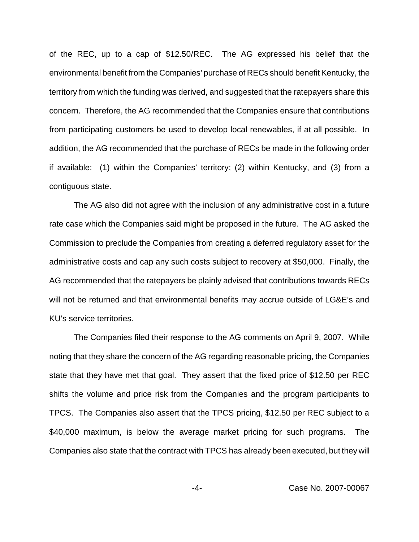of the REC, up to a cap of \$12.50/REC. The AG expressed his belief that the environmental benefit from the Companies' purchase of RECs should benefit Kentucky, the territory from which the funding was derived, and suggested that the ratepayers share this concern. Therefore, the AG recommended that the Companies ensure that contributions from participating customers be used to develop local renewables, if at all possible. In addition, the AG recommended that the purchase of RECs be made in the following order if available: (1) within the Companies' territory; (2) within Kentucky, and (3) from a contiguous state.

The AG also did not agree with the inclusion of any administrative cost in a future rate case which the Companies said might be proposed in the future. The AG asked the Commission to preclude the Companies from creating a deferred regulatory asset for the administrative costs and cap any such costs subject to recovery at \$50,000. Finally, the AG recommended that the ratepayers be plainly advised that contributions towards RECs will not be returned and that environmental benefits may accrue outside of LG&E's and KU's service territories.

The Companies filed their response to the AG comments on April 9, 2007. While noting that they share the concern of the AG regarding reasonable pricing, the Companies state that they have met that goal. They assert that the fixed price of \$12.50 per REC shifts the volume and price risk from the Companies and the program participants to TPCS. The Companies also assert that the TPCS pricing, \$12.50 per REC subject to a \$40,000 maximum, is below the average market pricing for such programs. The Companies also state that the contract with TPCS has already been executed, but they will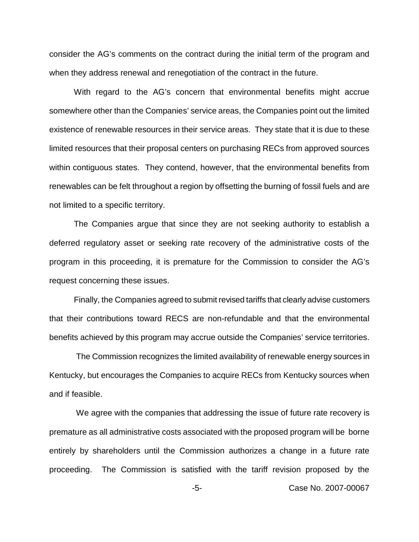consider the AG's comments on the contract during the initial term of the program and when they address renewal and renegotiation of the contract in the future.

With regard to the AG's concern that environmental benefits might accrue somewhere other than the Companies' service areas, the Companies point out the limited existence of renewable resources in their service areas. They state that it is due to these limited resources that their proposal centers on purchasing RECs from approved sources within contiguous states. They contend, however, that the environmental benefits from renewables can be felt throughout a region by offsetting the burning of fossil fuels and are not limited to a specific territory.

The Companies argue that since they are not seeking authority to establish a deferred regulatory asset or seeking rate recovery of the administrative costs of the program in this proceeding, it is premature for the Commission to consider the AG's request concerning these issues.

Finally, the Companies agreed to submit revised tariffs that clearly advise customers that their contributions toward RECS are non-refundable and that the environmental benefits achieved by this program may accrue outside the Companies' service territories.

The Commission recognizes the limited availability of renewable energy sources in Kentucky, but encourages the Companies to acquire RECs from Kentucky sources when and if feasible.

We agree with the companies that addressing the issue of future rate recovery is premature as all administrative costs associated with the proposed program will be borne entirely by shareholders until the Commission authorizes a change in a future rate proceeding. The Commission is satisfied with the tariff revision proposed by the

-5- Case No. 2007-00067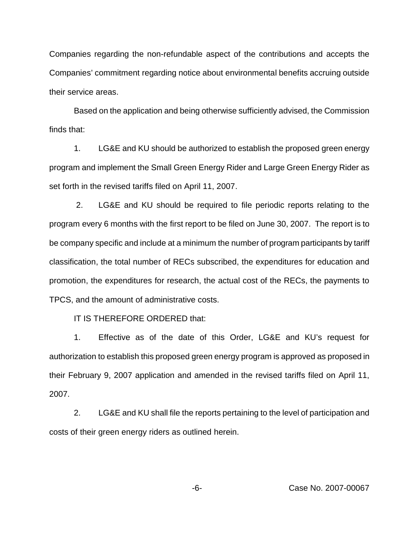Companies regarding the non-refundable aspect of the contributions and accepts the Companies' commitment regarding notice about environmental benefits accruing outside their service areas.

Based on the application and being otherwise sufficiently advised, the Commission finds that:

1. LG&E and KU should be authorized to establish the proposed green energy program and implement the Small Green Energy Rider and Large Green Energy Rider as set forth in the revised tariffs filed on April 11, 2007.

2. LG&E and KU should be required to file periodic reports relating to the program every 6 months with the first report to be filed on June 30, 2007. The report is to be company specific and include at a minimum the number of program participants by tariff classification, the total number of RECs subscribed, the expenditures for education and promotion, the expenditures for research, the actual cost of the RECs, the payments to TPCS, and the amount of administrative costs.

IT IS THEREFORE ORDERED that:

1. Effective as of the date of this Order, LG&E and KU's request for authorization to establish this proposed green energy program is approved as proposed in their February 9, 2007 application and amended in the revised tariffs filed on April 11, 2007.

2. LG&E and KU shall file the reports pertaining to the level of participation and costs of their green energy riders as outlined herein.

-6- Case No. 2007-00067